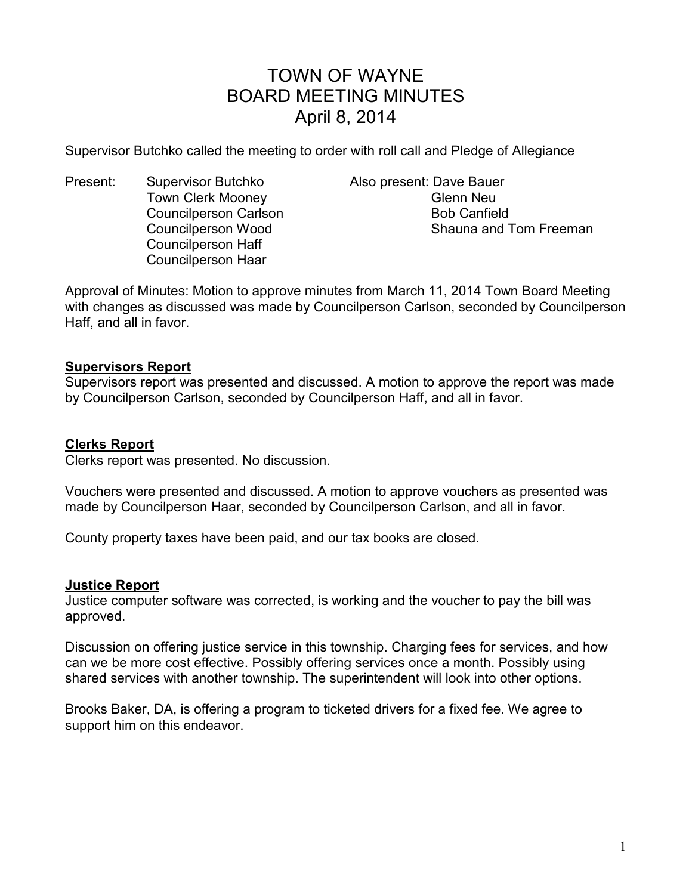# TOWN OF WAYNE BOARD MEETING MINUTES April 8, 2014

Supervisor Butchko called the meeting to order with roll call and Pledge of Allegiance

Present: Supervisor Butchko Also present: Dave Bauer Town Clerk Mooney **Glenn** Neu Councilperson Carlson **Bob Canfield** Bob Canfield Councilperson Haff Councilperson Haar

Councilperson Wood Shauna and Tom Freeman

Approval of Minutes: Motion to approve minutes from March 11, 2014 Town Board Meeting with changes as discussed was made by Councilperson Carlson, seconded by Councilperson Haff, and all in favor.

## **Supervisors Report**

Supervisors report was presented and discussed. A motion to approve the report was made by Councilperson Carlson, seconded by Councilperson Haff, and all in favor.

## **Clerks Report**

Clerks report was presented. No discussion.

Vouchers were presented and discussed. A motion to approve vouchers as presented was made by Councilperson Haar, seconded by Councilperson Carlson, and all in favor.

County property taxes have been paid, and our tax books are closed.

#### **Justice Report**

Justice computer software was corrected, is working and the voucher to pay the bill was approved.

Discussion on offering justice service in this township. Charging fees for services, and how can we be more cost effective. Possibly offering services once a month. Possibly using shared services with another township. The superintendent will look into other options.

Brooks Baker, DA, is offering a program to ticketed drivers for a fixed fee. We agree to support him on this endeavor.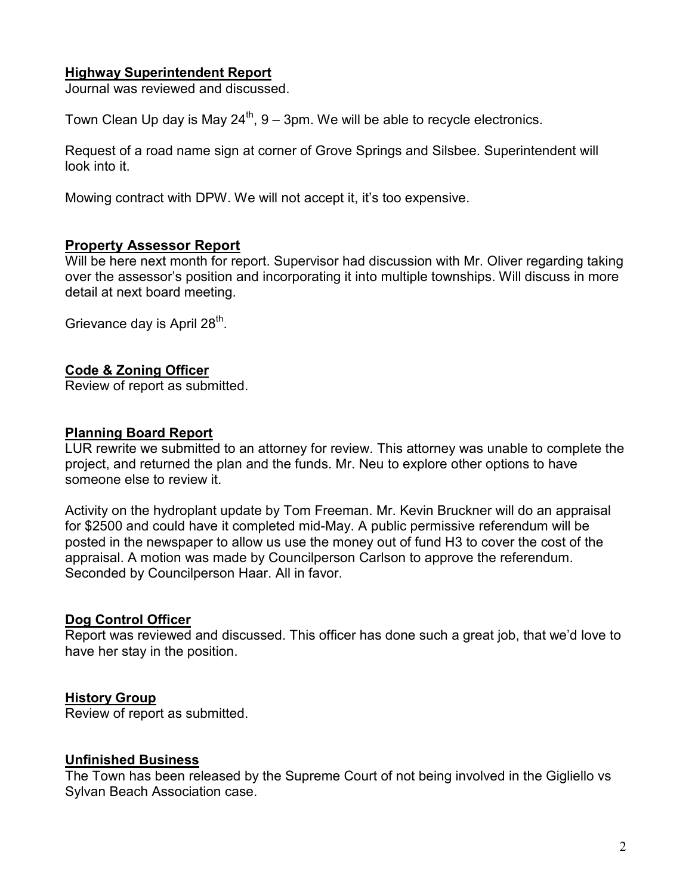## **Highway Superintendent Report**

Journal was reviewed and discussed.

Town Clean Up day is May  $24^{th}$ ,  $9 - 3$ pm. We will be able to recycle electronics.

Request of a road name sign at corner of Grove Springs and Silsbee. Superintendent will look into it.

Mowing contract with DPW. We will not accept it, it's too expensive.

## **Property Assessor Report**

Will be here next month for report. Supervisor had discussion with Mr. Oliver regarding taking over the assessor's position and incorporating it into multiple townships. Will discuss in more detail at next board meeting.

Grievance day is April 28<sup>th</sup>.

#### **Code & Zoning Officer**

Review of report as submitted.

#### **Planning Board Report**

LUR rewrite we submitted to an attorney for review. This attorney was unable to complete the project, and returned the plan and the funds. Mr. Neu to explore other options to have someone else to review it.

Activity on the hydroplant update by Tom Freeman. Mr. Kevin Bruckner will do an appraisal for \$2500 and could have it completed mid-May. A public permissive referendum will be posted in the newspaper to allow us use the money out of fund H3 to cover the cost of the appraisal. A motion was made by Councilperson Carlson to approve the referendum. Seconded by Councilperson Haar. All in favor.

#### **Dog Control Officer**

Report was reviewed and discussed. This officer has done such a great job, that we'd love to have her stay in the position.

#### **History Group**

Review of report as submitted.

#### **Unfinished Business**

The Town has been released by the Supreme Court of not being involved in the Gigliello vs Sylvan Beach Association case.